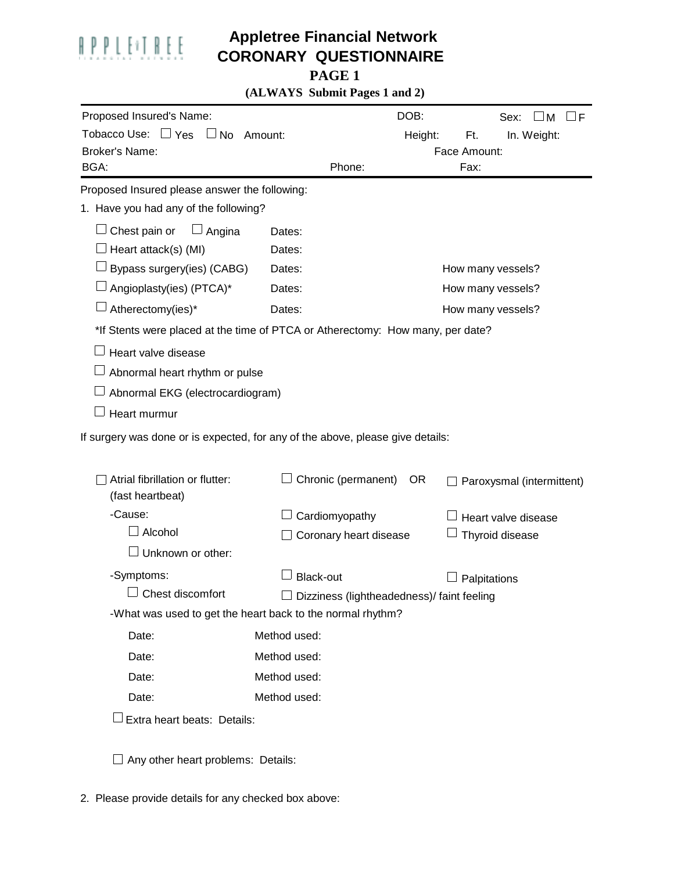

## **Appletree Financial Network CORONARY QUESTIONNAIRE**

**PAGE 1**

**(ALWAYS Submit Pages 1 and 2)**

| Proposed Insured's Name:                                                       |                                                            | DOB:           | Sex:<br>M<br>F            |  |  |  |
|--------------------------------------------------------------------------------|------------------------------------------------------------|----------------|---------------------------|--|--|--|
| Tobacco Use: □ Yes □ No                                                        | Amount:                                                    | Height:<br>Ft. | In. Weight:               |  |  |  |
| <b>Broker's Name:</b>                                                          |                                                            | Face Amount:   |                           |  |  |  |
| BGA:                                                                           | Phone:                                                     | Fax:           |                           |  |  |  |
| Proposed Insured please answer the following:                                  |                                                            |                |                           |  |  |  |
| 1. Have you had any of the following?                                          |                                                            |                |                           |  |  |  |
| Chest pain or<br>Angina                                                        | Dates:                                                     |                |                           |  |  |  |
| Heart attack(s) (MI)                                                           | Dates:                                                     |                |                           |  |  |  |
| Bypass surgery(ies) (CABG)                                                     | Dates:                                                     |                | How many vessels?         |  |  |  |
| Angioplasty(ies) (PTCA)*                                                       | Dates:                                                     |                | How many vessels?         |  |  |  |
| Atherectomy(ies)*                                                              | Dates:                                                     |                | How many vessels?         |  |  |  |
| *If Stents were placed at the time of PTCA or Atherectomy: How many, per date? |                                                            |                |                           |  |  |  |
| Heart valve disease                                                            |                                                            |                |                           |  |  |  |
|                                                                                | Abnormal heart rhythm or pulse                             |                |                           |  |  |  |
| Abnormal EKG (electrocardiogram)                                               |                                                            |                |                           |  |  |  |
| Heart murmur                                                                   |                                                            |                |                           |  |  |  |
| If surgery was done or is expected, for any of the above, please give details: |                                                            |                |                           |  |  |  |
|                                                                                |                                                            |                |                           |  |  |  |
| Atrial fibrillation or flutter:<br>(fast heartbeat)                            | Chronic (permanent)                                        | OR.            | Paroxysmal (intermittent) |  |  |  |
| -Cause:                                                                        | Cardiomyopathy                                             |                | Heart valve disease       |  |  |  |
| Alcohol                                                                        | Coronary heart disease                                     |                | Thyroid disease           |  |  |  |
| Unknown or other:                                                              |                                                            |                |                           |  |  |  |
| -Symptoms:                                                                     | <b>Black-out</b>                                           |                | Palpitations              |  |  |  |
| Chest discomfort                                                               | $\Box$ Dizziness (lightheadedness)/ faint feeling          |                |                           |  |  |  |
|                                                                                | -What was used to get the heart back to the normal rhythm? |                |                           |  |  |  |
| Date:                                                                          | Method used:                                               |                |                           |  |  |  |
| Date:                                                                          | Method used:                                               |                |                           |  |  |  |
| Date:                                                                          | Method used:                                               |                |                           |  |  |  |
| Date:                                                                          | Method used:                                               |                |                           |  |  |  |
| Extra heart beats: Details:                                                    |                                                            |                |                           |  |  |  |
|                                                                                |                                                            |                |                           |  |  |  |
|                                                                                | Any other heart problems: Details:                         |                |                           |  |  |  |

2. Please provide details for any checked box above: